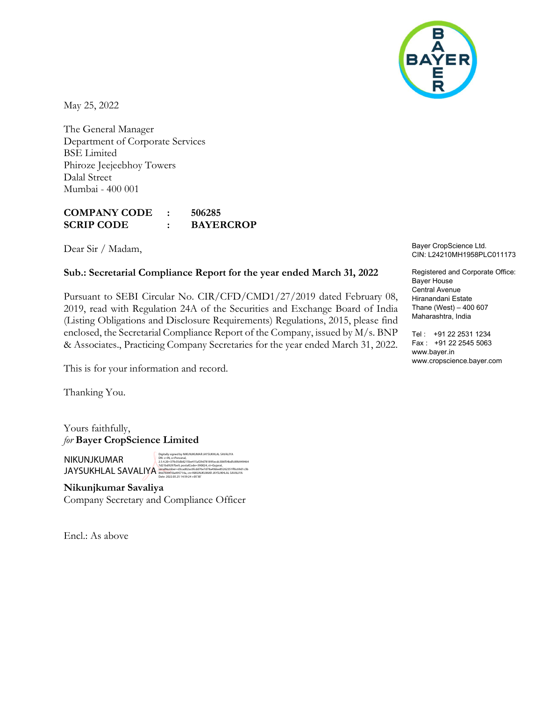

May 25, 2022

The General Manager Department of Corporate Services BSE Limited Phiroze Jeejeebhoy Towers Dalal Street Mumbai - 400 001

## COMPANY CODE : 506285 SCRIP CODE : BAYERCROP

Dear Sir / Madam,

## Sub.: Secretarial Compliance Report for the year ended March 31, 2022

Pursuant to SEBI Circular No. CIR/CFD/CMD1/27/2019 dated February 08, 2019, read with Regulation 24A of the Securities and Exchange Board of India (Listing Obligations and Disclosure Requirements) Regulations, 2015, please find enclosed, the Secretarial Compliance Report of the Company, issued by M/s. BNP & Associates., Practicing Company Secretaries for the year ended March 31, 2022.

This is for your information and record.

Thanking You.

Yours faithfully, for Bayer CropScience Limited

NIKUNJKUMAR JAYSUKHLAL SAVALIYA

Digitally signed by NIKUNJKUMAR JAYSUKHLAL SAVALIYA<br>Dik: c=IN, a=Personal,<br>2.5.4.20=37fe35db8215be415af29d781895ecdc306f54bdfc89b949464<br>7x121bd9297be9, postaliCode=390024, st=Gujarat,<br>9&idalWumber=d3cad6Zac6fcdd76e7d78a49d

Nikunjkumar Savaliya Company Secretary and Compliance Officer

Encl.: As above

Bayer CropScience Ltd. CIN: L24210MH1958PLC011173

Registered and Corporate Office: Bayer House Central Avenue Hiranandani Estate Thane (West) – 400 607 Maharashtra, India

Tel : +91 22 2531 1234 Fax : +91 22 2545 5063 www.bayer.in www.cropscience.bayer.com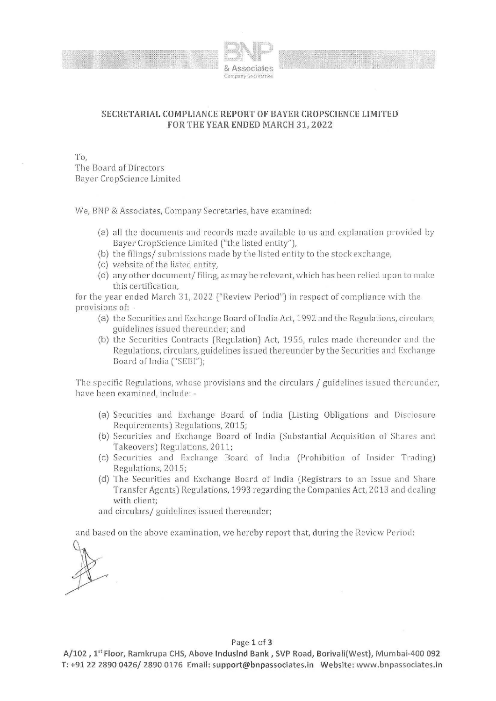



## **SECRETARIAL COMPLIANCE REPORT OF BAYER CROPSCIENCE LIMITED FOR THE YEAR ENDED MARCH 31, 2022**

To,

The Board of Directors 13ayer CropScience Limited

We, BNP & Associates, Company Secretaries, have examined:

- (a) all the documents and records made available to us and explanation provided by Bayer CropScience Limited ("the listed entity"),
- (b) the filings/ submissions made by the listed entity to the stock exchange,
- (c) website of the listed entity,
- (d) any other document/ filing, as may be relevant, which has been relied upon to make this certification,

for the year ended March 31, 2022 ("Review Period") in respect of compliance with the provisions of:

- (a) the Securities and Exchange Board of India Act, 1992 and the Regulations, circulars, guidelines issued thereunder; and
- (b) the Securities Contracts (Regulation) Act, 1956, rules made thereunder and the Regulations, circulars, guidelines issued thereunder by the Securities and Exchange Board of India ("SEBI");

The specific Regulations, whose provisions and the circulars / guidelines issued the reunder, have been examined, include: -

- (a) Securities and Exchange Board of India (Listing Obligations and Disclosure Requirements) Regulations, 2015;
- (b) Securities and Exchange Board of India (Substantial Acquisition of Shares and Takeovers) Regulations, 2011;
- (c) Securities and Exchange Board of India (Prohibition of Insider Trading) Regulations, 2015;
- (d) The Securities and Exchange Board of India (Registrars to an Issue and Share Transfer Agents) Regulations, 1993 regarding the Companies Act, 2013 and dealing with client;

and circulars/ guidelines issued thereunder;

and based on the above examination, we hereby report that, during the Review Period:

## Page **1 of 3**

**A/102, 1'1 Floor, Ramkrupa CHS, Above lnduslnd Bank, SVP Road, Borivali(West), Mumbai-400 092 T: +91 22 2890 0426/ 2890 0176 Email: support@bnpassociates.in Website: www.bnpassociates.in**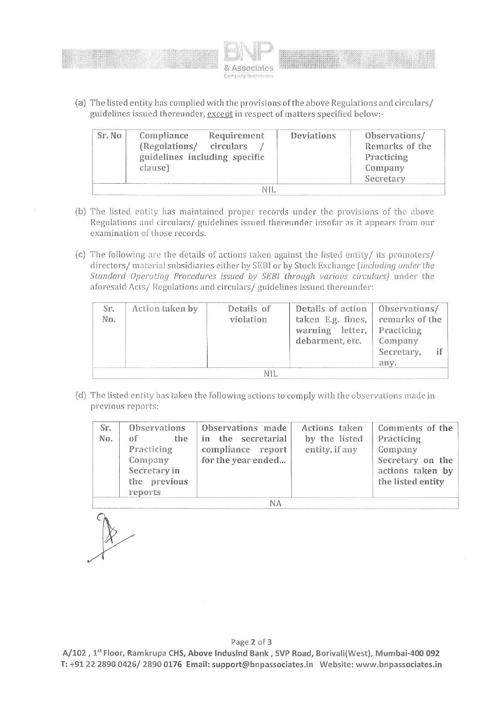



(a) The listed entity has complied with the provisions of the above Regulations and circulars/ guidelines issued thereunder, except in respect of matters specified below:-

| Sr. No | Compliance<br>(Regulations/<br>guidelines including specific<br>clause) | Requirement<br>circulars | <b>Deviations</b> | Observations/<br>Remarks of the<br>Practicing<br>Company<br>Secretary |
|--------|-------------------------------------------------------------------------|--------------------------|-------------------|-----------------------------------------------------------------------|
|        |                                                                         |                          |                   |                                                                       |

- (b) The listed entity has maintained proper records under the provisions of the above Regulations and circulars/ guidelines issued thereunder insofar as it appears from our examination of those records.
- (c) The following are the details of actions taken against the listed entity/ its promoters/ cl irectors/ material subsidiaries either by SEBI or by Stock Exchange *(including under lhe Standard Operating Procedures issued by SEBI through various circulars)* under the aforesaid Acts/ Regulations and circulars/ guidelines issued thereunder:

| Sr.<br>No. | Action taken by | Details of<br>violation | Details of action<br>taken E.g. fines,<br>warning letter,<br>debarment, etc. | Observations/<br>remarks of the<br>Practicing<br>Company<br>Secretary,<br>any. |
|------------|-----------------|-------------------------|------------------------------------------------------------------------------|--------------------------------------------------------------------------------|
|            |                 | N <sub>I</sub>          |                                                                              |                                                                                |

(d) The listed entity has taken the following actions to comply with the observations made in previous reports:

| Sr.<br>No. | Observations<br>the<br>of<br>Practicing<br>Company<br>Secretary in<br>the previous<br>reports | Observations made<br>in the secretarial<br>compliance report<br>for the year ended | Actions taken<br>by the listed<br>entity, if any | Comments of the<br>Practicing<br>Company<br>Secretary on the<br>actions taken by<br>the listed entity |
|------------|-----------------------------------------------------------------------------------------------|------------------------------------------------------------------------------------|--------------------------------------------------|-------------------------------------------------------------------------------------------------------|
|            |                                                                                               | NΔ                                                                                 |                                                  |                                                                                                       |

NA

Page **2** of **3** 

**A/102 , l5<sup>1</sup> Floor, Ramkrupa CHS, Above lnduslnd Bank, SVP Road, Borivali(West), Mumbai-400 092 T: +91 22 2890 0426/ 2890 0176 Email: support@bnpassociates.in Website: www.bnpassociates.in**